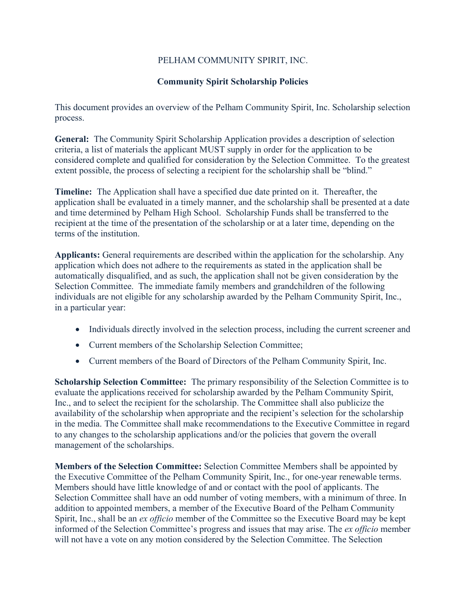## PELHAM COMMUNITY SPIRIT, INC.

## **Community Spirit Scholarship Policies**

This document provides an overview of the Pelham Community Spirit, Inc. Scholarship selection process.

**General:** The Community Spirit Scholarship Application provides a description of selection criteria, a list of materials the applicant MUST supply in order for the application to be considered complete and qualified for consideration by the Selection Committee. To the greatest extent possible, the process of selecting a recipient for the scholarship shall be "blind."

**Timeline:** The Application shall have a specified due date printed on it. Thereafter, the application shall be evaluated in a timely manner, and the scholarship shall be presented at a date and time determined by Pelham High School. Scholarship Funds shall be transferred to the recipient at the time of the presentation of the scholarship or at a later time, depending on the terms of the institution.

**Applicants:** General requirements are described within the application for the scholarship. Any application which does not adhere to the requirements as stated in the application shall be automatically disqualified, and as such, the application shall not be given consideration by the Selection Committee. The immediate family members and grandchildren of the following individuals are not eligible for any scholarship awarded by the Pelham Community Spirit, Inc., in a particular year:

- Individuals directly involved in the selection process, including the current screener and
- Current members of the Scholarship Selection Committee;
- Current members of the Board of Directors of the Pelham Community Spirit, Inc.

**Scholarship Selection Committee:** The primary responsibility of the Selection Committee is to evaluate the applications received for scholarship awarded by the Pelham Community Spirit, Inc., and to select the recipient for the scholarship. The Committee shall also publicize the availability of the scholarship when appropriate and the recipient's selection for the scholarship in the media. The Committee shall make recommendations to the Executive Committee in regard to any changes to the scholarship applications and/or the policies that govern the overall management of the scholarships.

**Members of the Selection Committee:** Selection Committee Members shall be appointed by the Executive Committee of the Pelham Community Spirit, Inc., for one-year renewable terms. Members should have little knowledge of and or contact with the pool of applicants. The Selection Committee shall have an odd number of voting members, with a minimum of three. In addition to appointed members, a member of the Executive Board of the Pelham Community Spirit, Inc., shall be an *ex officio* member of the Committee so the Executive Board may be kept informed of the Selection Committee's progress and issues that may arise. The *ex officio* member will not have a vote on any motion considered by the Selection Committee. The Selection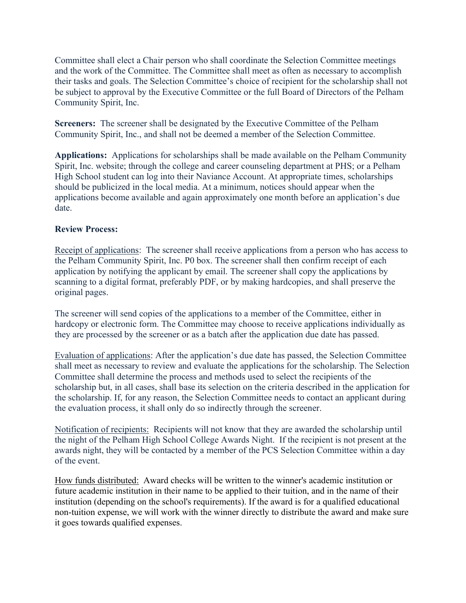Committee shall elect a Chair person who shall coordinate the Selection Committee meetings and the work of the Committee. The Committee shall meet as often as necessary to accomplish their tasks and goals. The Selection Committee's choice of recipient for the scholarship shall not be subject to approval by the Executive Committee or the full Board of Directors of the Pelham Community Spirit, Inc.

**Screeners:** The screener shall be designated by the Executive Committee of the Pelham Community Spirit, Inc., and shall not be deemed a member of the Selection Committee.

**Applications:** Applications for scholarships shall be made available on the Pelham Community Spirit, Inc. website; through the college and career counseling department at PHS; or a Pelham High School student can log into their Naviance Account. At appropriate times, scholarships should be publicized in the local media. At a minimum, notices should appear when the applications become available and again approximately one month before an application's due date.

## **Review Process:**

Receipt of applications: The screener shall receive applications from a person who has access to the Pelham Community Spirit, Inc. P0 box. The screener shall then confirm receipt of each application by notifying the applicant by email. The screener shall copy the applications by scanning to a digital format, preferably PDF, or by making hardcopies, and shall preserve the original pages.

The screener will send copies of the applications to a member of the Committee, either in hardcopy or electronic form. The Committee may choose to receive applications individually as they are processed by the screener or as a batch after the application due date has passed.

Evaluation of applications: After the application's due date has passed, the Selection Committee shall meet as necessary to review and evaluate the applications for the scholarship. The Selection Committee shall determine the process and methods used to select the recipients of the scholarship but, in all cases, shall base its selection on the criteria described in the application for the scholarship. If, for any reason, the Selection Committee needs to contact an applicant during the evaluation process, it shall only do so indirectly through the screener.

Notification of recipients: Recipients will not know that they are awarded the scholarship until the night of the Pelham High School College Awards Night. If the recipient is not present at the awards night, they will be contacted by a member of the PCS Selection Committee within a day of the event.

How funds distributed: Award checks will be written to the winner's academic institution or future academic institution in their name to be applied to their tuition, and in the name of their institution (depending on the school's requirements). If the award is for a qualified educational non-tuition expense, we will work with the winner directly to distribute the award and make sure it goes towards qualified expenses.